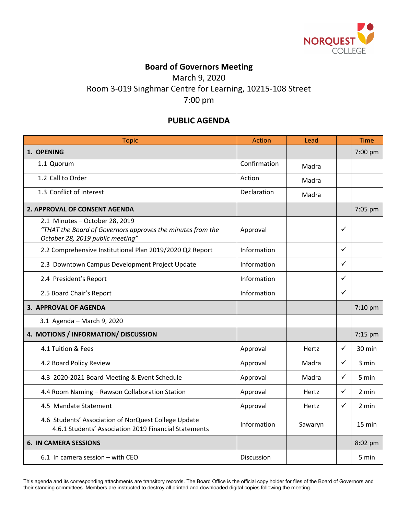

## **Board of Governors Meeting**

March 9, 2020 Room 3-019 Singhmar Centre for Learning, 10215-108 Street 7:00 pm

## **PUBLIC AGENDA**

| <b>Topic</b>                                                                                                                     | <b>Action</b> | Lead    |              | <b>Time</b> |
|----------------------------------------------------------------------------------------------------------------------------------|---------------|---------|--------------|-------------|
| 1. OPENING                                                                                                                       |               |         |              | 7:00 pm     |
| 1.1 Quorum                                                                                                                       | Confirmation  | Madra   |              |             |
| 1.2 Call to Order                                                                                                                | Action        | Madra   |              |             |
| 1.3 Conflict of Interest                                                                                                         | Declaration   | Madra   |              |             |
| 2. APPROVAL OF CONSENT AGENDA                                                                                                    |               |         |              | 7:05 pm     |
| 2.1 Minutes - October 28, 2019<br>"THAT the Board of Governors approves the minutes from the<br>October 28, 2019 public meeting" | Approval      |         | ✓            |             |
| 2.2 Comprehensive Institutional Plan 2019/2020 Q2 Report                                                                         | Information   |         | $\checkmark$ |             |
| 2.3 Downtown Campus Development Project Update                                                                                   | Information   |         | ✓            |             |
| 2.4 President's Report                                                                                                           | Information   |         | ✓            |             |
| 2.5 Board Chair's Report                                                                                                         | Information   |         | $\checkmark$ |             |
| 3. APPROVAL OF AGENDA                                                                                                            |               |         |              | 7:10 pm     |
| 3.1 Agenda - March 9, 2020                                                                                                       |               |         |              |             |
| 4. MOTIONS / INFORMATION/ DISCUSSION                                                                                             |               |         |              | 7:15 pm     |
| 4.1 Tuition & Fees                                                                                                               | Approval      | Hertz   | $\checkmark$ | 30 min      |
| 4.2 Board Policy Review                                                                                                          | Approval      | Madra   | $\checkmark$ | 3 min       |
| 4.3 2020-2021 Board Meeting & Event Schedule                                                                                     | Approval      | Madra   | ✓            | 5 min       |
| 4.4 Room Naming - Rawson Collaboration Station                                                                                   | Approval      | Hertz   | ✓            | 2 min       |
| 4.5 Mandate Statement                                                                                                            | Approval      | Hertz   | $\checkmark$ | 2 min       |
| 4.6 Students' Association of NorQuest College Update<br>4.6.1 Students' Association 2019 Financial Statements                    | Information   | Sawaryn |              | 15 min      |
| <b>6. IN CAMERA SESSIONS</b>                                                                                                     |               |         |              | 8:02 pm     |
| 6.1 In camera session - with CEO                                                                                                 | Discussion    |         |              | 5 min       |

This agenda and its corresponding attachments are transitory records. The Board Office is the official copy holder for files of the Board of Governors and their standing committees. Members are instructed to destroy all printed and downloaded digital copies following the meeting.